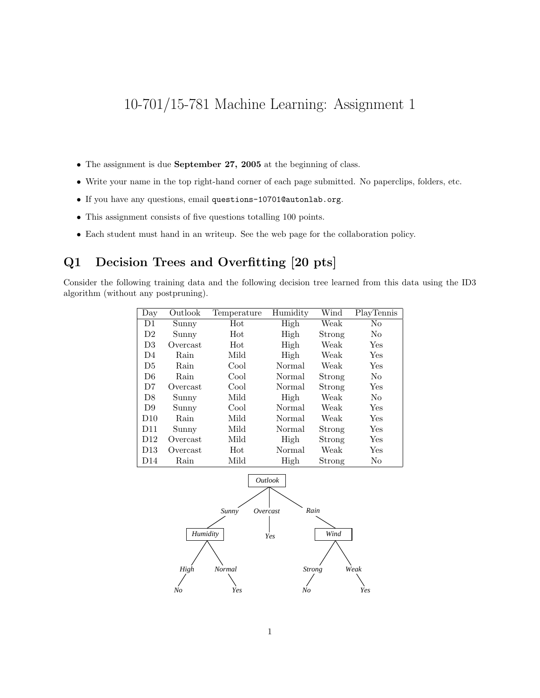# 10-701/15-781 Machine Learning: Assignment 1

- The assignment is due September 27, 2005 at the beginning of class.
- Write your name in the top right-hand corner of each page submitted. No paperclips, folders, etc.
- If you have any questions, email questions-10701@autonlab.org.
- This assignment consists of five questions totalling 100 points.
- Each student must hand in an writeup. See the web page for the collaboration policy.

# Q1 Decision Trees and Overfitting [20 pts]

Consider the following training data and the following decision tree learned from this data using the ID3 algorithm (without any postpruning).

| Day             | Outlook  | Temperature | Humidity | Wind   | PlayTennis     |
|-----------------|----------|-------------|----------|--------|----------------|
| D1              | Sunny    | Hot         | High     | Weak   | No             |
| D2              | Sunny    | Hot         | High     | Strong | N <sub>o</sub> |
| D <sub>3</sub>  | Overcast | Hot         | High     | Weak   | Yes            |
| D <sub>4</sub>  | Rain     | Mild        | High     | Weak   | Yes            |
| D5              | Rain     | Cool        | Normal   | Weak   | Yes            |
| D <sub>6</sub>  | Rain     | Cool        | Normal   | Strong | N <sub>0</sub> |
| D7              | Overcast | Cool        | Normal   | Strong | Yes            |
| D <sub>8</sub>  | Sunny    | Mild        | High     | Weak   | N <sub>o</sub> |
| D9              | Sunny    | Cool        | Normal   | Weak   | Yes            |
| D10             | Rain     | Mild        | Normal   | Weak   | Yes            |
| D <sub>11</sub> | Sunny    | Mild        | Normal   | Strong | Yes            |
| D12             | Overcast | Mild        | High     | Strong | Yes            |
| D13             | Overcast | Hot         | Normal   | Weak   | Yes            |
| D <sub>14</sub> | Rain     | Mild        | High     | Strong | No             |



1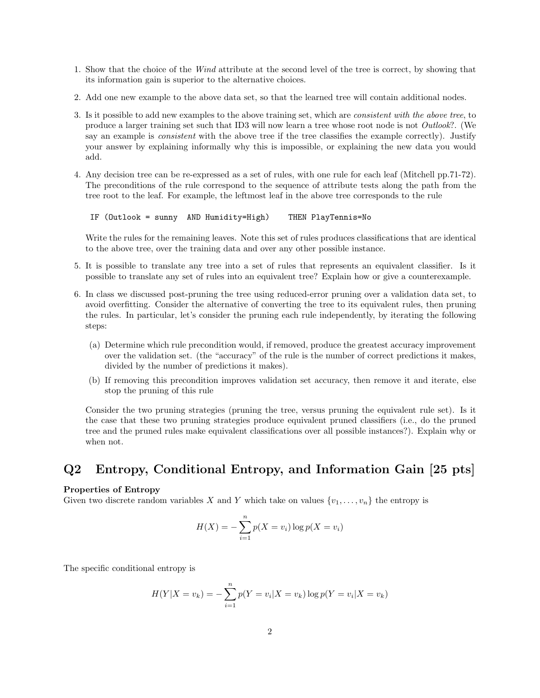- 1. Show that the choice of the Wind attribute at the second level of the tree is correct, by showing that its information gain is superior to the alternative choices.
- 2. Add one new example to the above data set, so that the learned tree will contain additional nodes.
- 3. Is it possible to add new examples to the above training set, which are consistent with the above tree, to produce a larger training set such that ID3 will now learn a tree whose root node is not Outlook?. (We say an example is *consistent* with the above tree if the tree classifies the example correctly). Justify your answer by explaining informally why this is impossible, or explaining the new data you would add.
- 4. Any decision tree can be re-expressed as a set of rules, with one rule for each leaf (Mitchell pp.71-72). The preconditions of the rule correspond to the sequence of attribute tests along the path from the tree root to the leaf. For example, the leftmost leaf in the above tree corresponds to the rule

IF (Outlook = sunny AND Humidity=High) THEN PlayTennis=No

Write the rules for the remaining leaves. Note this set of rules produces classifications that are identical to the above tree, over the training data and over any other possible instance.

- 5. It is possible to translate any tree into a set of rules that represents an equivalent classifier. Is it possible to translate any set of rules into an equivalent tree? Explain how or give a counterexample.
- 6. In class we discussed post-pruning the tree using reduced-error pruning over a validation data set, to avoid overfitting. Consider the alternative of converting the tree to its equivalent rules, then pruning the rules. In particular, let's consider the pruning each rule independently, by iterating the following steps:
	- (a) Determine which rule precondition would, if removed, produce the greatest accuracy improvement over the validation set. (the "accuracy" of the rule is the number of correct predictions it makes, divided by the number of predictions it makes).
	- (b) If removing this precondition improves validation set accuracy, then remove it and iterate, else stop the pruning of this rule

Consider the two pruning strategies (pruning the tree, versus pruning the equivalent rule set). Is it the case that these two pruning strategies produce equivalent pruned classifiers (i.e., do the pruned tree and the pruned rules make equivalent classifications over all possible instances?). Explain why or when not.

### Q2 Entropy, Conditional Entropy, and Information Gain [25 pts]

#### Properties of Entropy

Given two discrete random variables X and Y which take on values  $\{v_1, \ldots, v_n\}$  the entropy is

$$
H(X) = -\sum_{i=1}^{n} p(X = v_i) \log p(X = v_i)
$$

The specific conditional entropy is

$$
H(Y|X = v_k) = -\sum_{i=1}^{n} p(Y = v_i|X = v_k) \log p(Y = v_i|X = v_k)
$$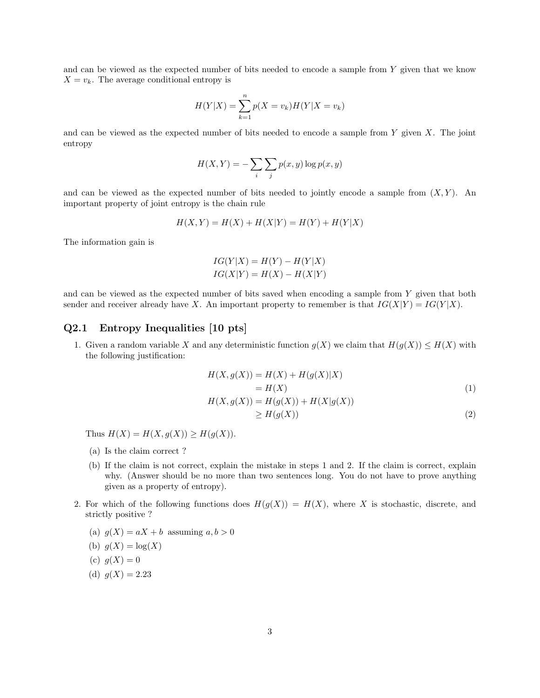and can be viewed as the expected number of bits needed to encode a sample from Y given that we know  $X = v_k$ . The average conditional entropy is

$$
H(Y|X) = \sum_{k=1}^{n} p(X = v_k)H(Y|X = v_k)
$$

and can be viewed as the expected number of bits needed to encode a sample from  $Y$  given  $X$ . The joint entropy

$$
H(X,Y) = -\sum_{i} \sum_{j} p(x,y) \log p(x,y)
$$

and can be viewed as the expected number of bits needed to jointly encode a sample from  $(X, Y)$ . An important property of joint entropy is the chain rule

$$
H(X, Y) = H(X) + H(X|Y) = H(Y) + H(Y|X)
$$

The information gain is

$$
IG(Y|X) = H(Y) - H(Y|X)
$$
  

$$
IG(X|Y) = H(X) - H(X|Y)
$$

and can be viewed as the expected number of bits saved when encoding a sample from Y given that both sender and receiver already have X. An important property to remember is that  $IG(X|Y) = IG(Y|X)$ .

#### Q2.1 Entropy Inequalities [10 pts]

1. Given a random variable X and any deterministic function  $g(X)$  we claim that  $H(g(X)) \leq H(X)$  with the following justification:

$$
H(X, g(X)) = H(X) + H(g(X)|X)
$$
  
= H(X) (1)

$$
H(X, g(X)) = H(g(X)) + H(X|g(X))
$$
  
\n
$$
\geq H(g(X))
$$
\n(2)

Thus  $H(X) = H(X, g(X)) \geq H(g(X)).$ 

- (a) Is the claim correct ?
- (b) If the claim is not correct, explain the mistake in steps 1 and 2. If the claim is correct, explain why. (Answer should be no more than two sentences long. You do not have to prove anything given as a property of entropy).
- 2. For which of the following functions does  $H(g(X)) = H(X)$ , where X is stochastic, discrete, and strictly positive ?
	- (a)  $q(X) = aX + b$  assuming  $a, b > 0$

(b) 
$$
g(X) = \log(X)
$$

- (c)  $g(X) = 0$
- (d)  $q(X) = 2.23$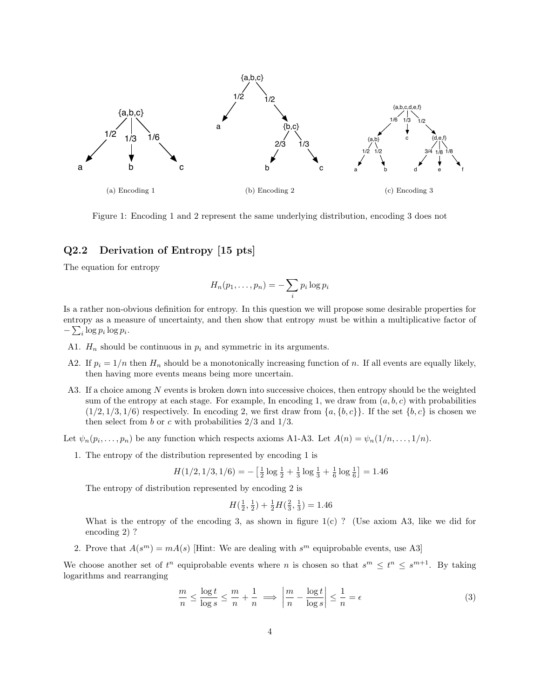

Figure 1: Encoding 1 and 2 represent the same underlying distribution, encoding 3 does not

### Q2.2 Derivation of Entropy [15 pts]

The equation for entropy

$$
H_n(p_1,\ldots,p_n)=-\sum_i p_i \log p_i
$$

Is a rather non-obvious definition for entropy. In this question we will propose some desirable properties for entropy as a measure of uncertainty, and then show that entropy must be within a multiplicative factor of  $-\sum_i \log p_i \log p_i$ .

- A1.  $H_n$  should be continuous in  $p_i$  and symmetric in its arguments.
- A2. If  $p_i = 1/n$  then  $H_n$  should be a monotonically increasing function of n. If all events are equally likely, then having more events means being more uncertain.
- A3. If a choice among N events is broken down into successive choices, then entropy should be the weighted sum of the entropy at each stage. For example, In encoding 1, we draw from  $(a, b, c)$  with probabilities  $(1/2, 1/3, 1/6)$  respectively. In encoding 2, we first draw from  $\{a, \{b, c\}\}\.$  If the set  $\{b, c\}$  is chosen we then select from b or c with probabilities  $2/3$  and  $1/3$ .

Let  $\psi_n(p_i, \ldots, p_n)$  be any function which respects axioms A1-A3. Let  $A(n) = \psi_n(1/n, \ldots, 1/n)$ .

1. The entropy of the distribution represented by encoding 1 is

$$
H(1/2, 1/3, 1/6) = -\left[\frac{1}{2}\log\frac{1}{2} + \frac{1}{3}\log\frac{1}{3} + \frac{1}{6}\log\frac{1}{6}\right] = 1.46
$$

The entropy of distribution represented by encoding 2 is

$$
H(\frac{1}{2}, \frac{1}{2}) + \frac{1}{2}H(\frac{2}{3}, \frac{1}{3}) = 1.46
$$

What is the entropy of the encoding 3, as shown in figure  $1(c)$  ? (Use axiom A3, like we did for encoding 2) ?

2. Prove that  $A(s^m) = mA(s)$  [Hint: We are dealing with  $s^m$  equiprobable events, use A3]

We choose another set of  $t^n$  equiprobable events where n is chosen so that  $s^m \leq t^n \leq s^{m+1}$ . By taking logarithms and rearranging

$$
\frac{m}{n} \le \frac{\log t}{\log s} \le \frac{m}{n} + \frac{1}{n} \implies \left| \frac{m}{n} - \frac{\log t}{\log s} \right| \le \frac{1}{n} = \epsilon \tag{3}
$$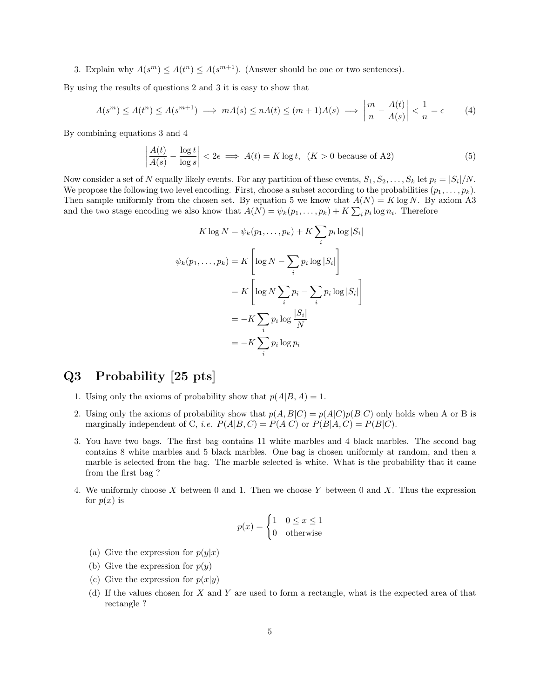3. Explain why  $A(s^m) \leq A(t^n) \leq A(s^{m+1})$ . (Answer should be one or two sentences).

By using the results of questions 2 and 3 it is easy to show that

$$
A(s^m) \le A(t^n) \le A(s^{m+1}) \implies mA(s) \le nA(t) \le (m+1)A(s) \implies \left| \frac{m}{n} - \frac{A(t)}{A(s)} \right| < \frac{1}{n} = \epsilon \tag{4}
$$

By combining equations 3 and 4

$$
\left| \frac{A(t)}{A(s)} - \frac{\log t}{\log s} \right| < 2\epsilon \implies A(t) = K \log t, \ \ (K > 0 \text{ because of A2}) \tag{5}
$$

Now consider a set of N equally likely events. For any partition of these events,  $S_1, S_2, \ldots, S_k$  let  $p_i = |S_i|/N$ . We propose the following two level encoding. First, choose a subset according to the probabilities  $(p_1, \ldots, p_k)$ . Then sample uniformly from the chosen set. By equation 5 we know that  $A(N) = K \log N$ . By axiom A3 and the two stage encoding we also know that  $A(N) = \psi_k(p_1, \dots, p_k) + K \sum_i p_i \log n_i$ . Therefore

$$
K \log N = \psi_k(p_1, \dots, p_k) + K \sum_i p_i \log |S_i|
$$
  

$$
\psi_k(p_1, \dots, p_k) = K \left[ \log N - \sum_i p_i \log |S_i| \right]
$$
  

$$
= K \left[ \log N \sum_i p_i - \sum_i p_i \log |S_i| \right]
$$
  

$$
= -K \sum_i p_i \log \frac{|S_i|}{N}
$$
  

$$
= -K \sum_i p_i \log p_i
$$

# Q3 Probability [25 pts]

- 1. Using only the axioms of probability show that  $p(A|B, A) = 1$ .
- 2. Using only the axioms of probability show that  $p(A, B|C) = p(A|C)p(B|C)$  only holds when A or B is marginally independent of C, *i.e.*  $P(A|B, C) = P(A|C)$  or  $P(B|A, C) = P(B|C)$ .
- 3. You have two bags. The first bag contains 11 white marbles and 4 black marbles. The second bag contains 8 white marbles and 5 black marbles. One bag is chosen uniformly at random, and then a marble is selected from the bag. The marble selected is white. What is the probability that it came from the first bag ?
- 4. We uniformly choose X between 0 and 1. Then we choose Y between 0 and X. Thus the expression for  $p(x)$  is

$$
p(x) = \begin{cases} 1 & 0 \le x \le 1 \\ 0 & \text{otherwise} \end{cases}
$$

- (a) Give the expression for  $p(y|x)$
- (b) Give the expression for  $p(y)$
- (c) Give the expression for  $p(x|y)$
- (d) If the values chosen for X and Y are used to form a rectangle, what is the expected area of that rectangle ?